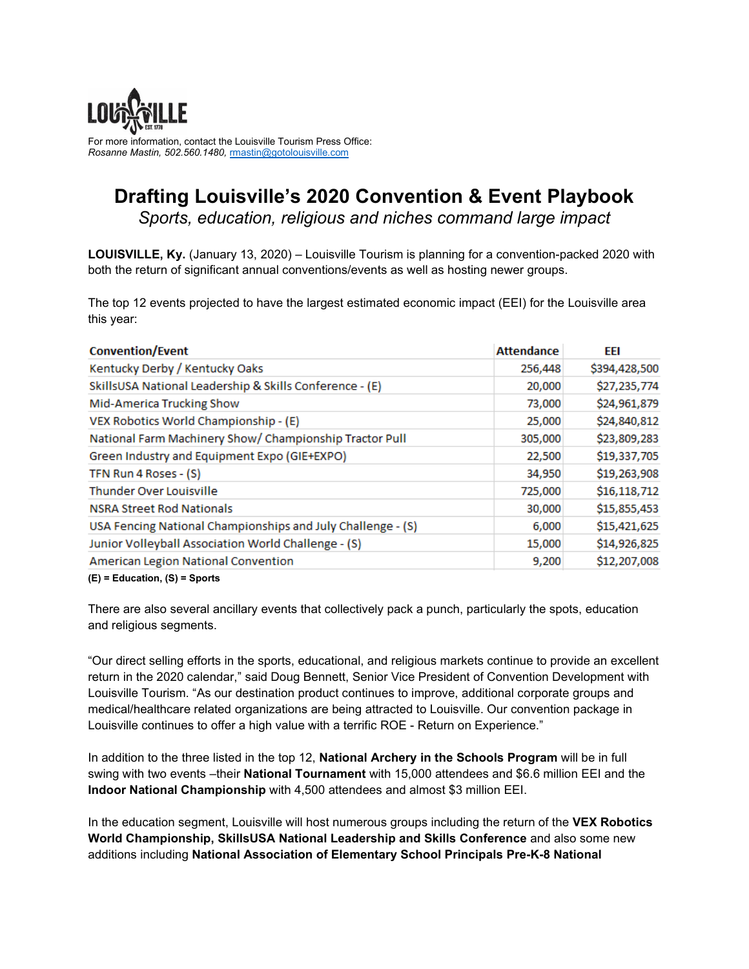

For more information, contact the Louisville Tourism Press Office: *Rosanne Mastin, 502.560.1480,* [rmastin@gotolouisville.com](mailto:rmastin@gotolouisville.com)

## **Drafting Louisville's 2020 Convention & Event Playbook** *Sports, education, religious and niches command large impact*

**LOUISVILLE, Ky.** (January 13, 2020) – Louisville Tourism is planning for a convention-packed 2020 with both the return of significant annual conventions/events as well as hosting newer groups.

The top 12 events projected to have the largest estimated economic impact (EEI) for the Louisville area this year:

| <b>Convention/Event</b>                                     | <b>Attendance</b> | EEI           |
|-------------------------------------------------------------|-------------------|---------------|
| Kentucky Derby / Kentucky Oaks                              | 256,448           | \$394,428,500 |
| SkillsUSA National Leadership & Skills Conference - (E)     | 20,000            | \$27,235,774  |
| Mid-America Trucking Show                                   | 73,000            | \$24,961,879  |
| VEX Robotics World Championship - (E)                       | 25,000            | \$24,840,812  |
| National Farm Machinery Show/ Championship Tractor Pull     | 305,000           | \$23,809,283  |
| Green Industry and Equipment Expo (GIE+EXPO)                | 22,500            | \$19,337,705  |
| TFN Run 4 Roses - (S)                                       | 34,950            | \$19,263,908  |
| Thunder Over Louisville                                     | 725,000           | \$16,118,712  |
| <b>NSRA Street Rod Nationals</b>                            | 30,000            | \$15,855,453  |
| USA Fencing National Championships and July Challenge - (S) | 6,000             | \$15,421,625  |
| Junior Volleyball Association World Challenge - (S)         | 15,000            | \$14,926,825  |
| American Legion National Convention                         | 9,200             | \$12,207,008  |
| $(2) = 2$                                                   |                   |               |

**(E) = Education, (S) = Sports** 

There are also several ancillary events that collectively pack a punch, particularly the spots, education and religious segments.

"Our direct selling efforts in the sports, educational, and religious markets continue to provide an excellent return in the 2020 calendar," said Doug Bennett, Senior Vice President of Convention Development with Louisville Tourism. "As our destination product continues to improve, additional corporate groups and medical/healthcare related organizations are being attracted to Louisville. Our convention package in Louisville continues to offer a high value with a terrific ROE - Return on Experience."

In addition to the three listed in the top 12, **National Archery in the Schools Program** will be in full swing with two events –their **National Tournament** with 15,000 attendees and \$6.6 million EEI and the **Indoor National Championship** with 4,500 attendees and almost \$3 million EEI.

In the education segment, Louisville will host numerous groups including the return of the **VEX Robotics World Championship, SkillsUSA National Leadership and Skills Conference** and also some new additions including **National Association of Elementary School Principals Pre-K-8 National**